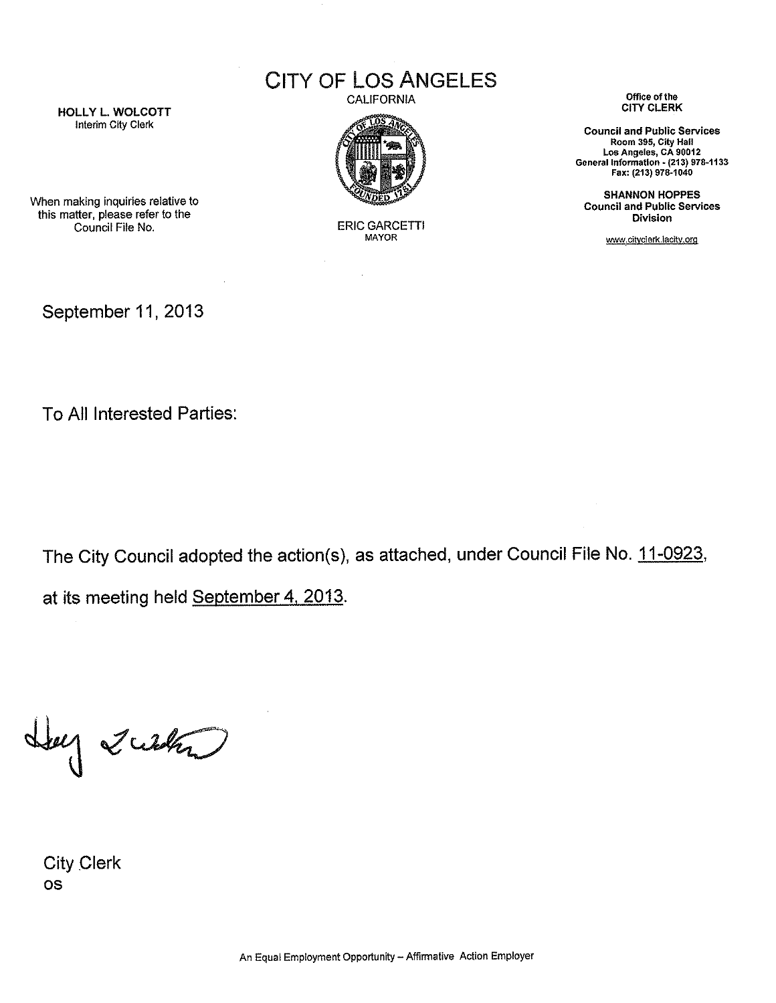CITY OF LOS ANGELES

CALIFORNIA



ERIC GARCETTI MAYOR

**Office of the**  CITY CLERK

**Council and Public Services Room 395, City Hall Los Angeles, CA 90012 General Information** ~ **(213) 978·1133**  Fax: (213) 978·1040

SHANNON HOPPES **Council and Public Services Division** 

www.cityclerk.lacity.org

HOLLY L. WOLCOTT Interim City Clerk

this matter, please refer to the Council File No.

When making inquiries relative to

September 11, 2013

To All Interested Parties:

The City Council adopted the action(s), as attached, under Council File No. 11-0923,

at its meeting held September 4, 2013.

Lug 2024

City Clerk OS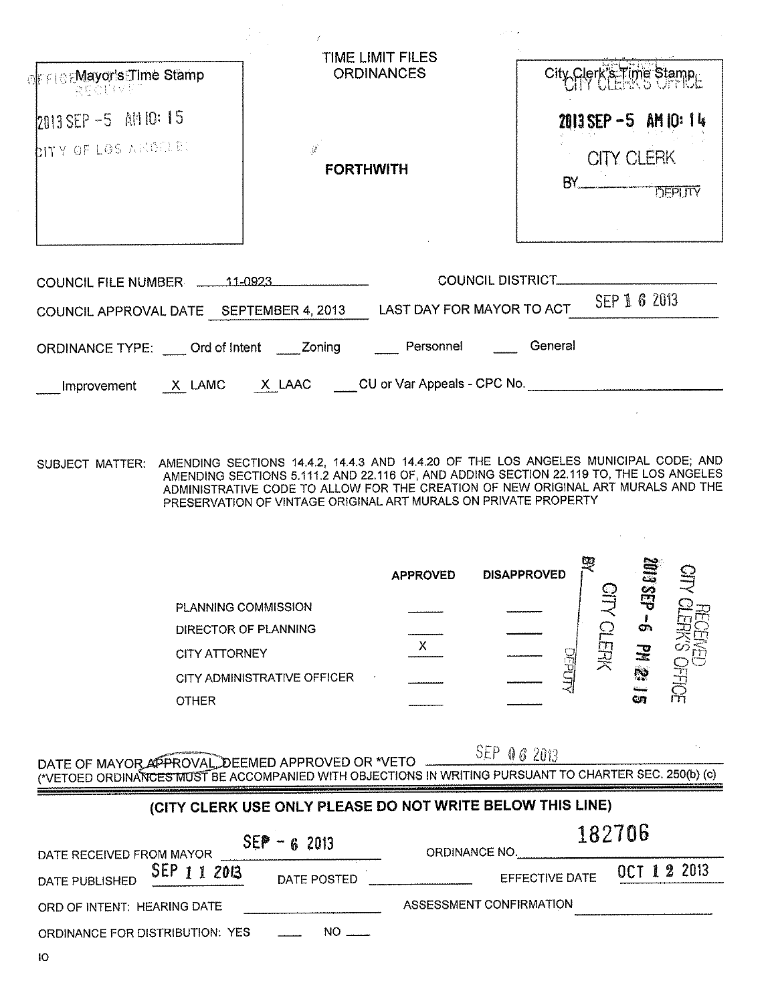| <b>OFFICEMayor's Time Stamp</b><br><b>RECEIVE</b>                         | TIME LIMIT FILES<br><b>ORDINANCES</b>                                          | City Clerk's Time Stamp                                       |
|---------------------------------------------------------------------------|--------------------------------------------------------------------------------|---------------------------------------------------------------|
| 2013 SEP -5 AM 10:15<br><b>DITY OF LOS ARDELEL</b>                        | $\mathcal{L}$<br><b>FORTHWITH</b>                                              | $2013$ SEP $-5$ AM 10: 14<br><b>CITY CLERK</b><br>$BY$ DEPUTY |
| COUNCIL FILE NUMBER 11-0923<br>ORDINANCE TYPE: Ord of intent _____ Zoning | COUNCIL APPROVAL DATE SEPTEMBER 4, 2013 LAST DAY FOR MAYOR TO ACT<br>Personnel | COUNCIL DISTRICT<br>SEP 1 6 2013<br>General                   |
|                                                                           | Improvement X LAMC X LAAC CU or Var Appeals - CPC No.                          |                                                               |

SUBJECT MATTER: AMENDING SECTIONS 14.4.2, 14.4.3 AND 14.4.20 OF THE LOS ANGELES MUNICIPAL CODE; AND AMENDING SECTIONS 5.111.2 AND 22.116 OF, AND ADDING SECTION 22.119 TO, THE LOS ANGELES ADMINISTRATIVE CODE TO ALLOW FOR TH PRESERVATION OF VINTAGE ORIGINAL ART MURALS ON PRIVATE PROPERTY

|                             | <b>APPROVED</b>          | <b>DISAPPROVED</b> |        | ₹<br><u>နှ</u> |    |
|-----------------------------|--------------------------|--------------------|--------|----------------|----|
| <b>PLANNING COMMISSION</b>  |                          |                    |        |                |    |
| DIRECTOR OF PLANNING        |                          |                    |        | œ              |    |
| <b>CITY ATTORNEY</b>        |                          |                    | 当<br>关 | 긏              |    |
| CITY ADMINISTRATIVE OFFICER | $\overline{\phantom{a}}$ |                    |        | p.             |    |
| <b>OTHER</b>                |                          |                    |        | GUN            | ñй |

SEP 06 2013 DATE OF MAYOR APPROVAL, DEEMED APPROVED OR \*VETO **ACCOMPT OF THE USINE ART OF MAYOR APPROVAL** DEEMED APPROVED OR \*VETO **AND THE USINE OF A COMPANIED WITH OBJECTIONS** IN WRITING PURSUANT TO CHARTER SEC. 250(b) (c) an an an t-ainm an a-chuid ann an a-chuid ann an a-chuid ann an a-chuid ann an a-chuid ann an a-chuid ann a-c<br>Tagairtí ann an a-chuid ann a-chuid ann an a-chuid ann a-chuid ann a-chuid ann a-chuid ann a-chuid ann a-chuid

## (CITY CLERK USE ONLY PLEASE DO NOT WRITE BELOW THIS LINE)

| $SEP - 62013$<br>DATE RECEIVED FROM MAYOR |             | ORDINANCE NO.           | 182706      |  |  |
|-------------------------------------------|-------------|-------------------------|-------------|--|--|
| SEP 1 1 2013<br>DATE PUBLISHED            | DATE POSTED | <b>EFFECTIVE DATE</b>   | OCT 12 2013 |  |  |
| ORD OF INTENT: HEARING DATE               |             | ASSESSMENT CONFIRMATION |             |  |  |
| ORDINANCE FOR DISTRIBUTION: YES           | $NO$ $\sim$ |                         |             |  |  |